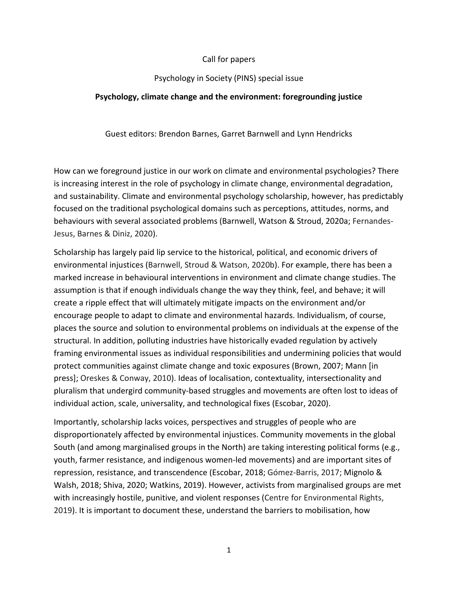# Call for papers

## Psychology in Society (PINS) special issue

# **Psychology, climate change and the environment: foregrounding justice**

Guest editors: Brendon Barnes, Garret Barnwell and Lynn Hendricks

How can we foreground justice in our work on climate and environmental psychologies? There is increasing interest in the role of psychology in climate change, environmental degradation, and sustainability. Climate and environmental psychology scholarship, however, has predictably focused on the traditional psychological domains such as perceptions, attitudes, norms, and behaviours with several associated problems (Barnwell, Watson & Stroud, 2020a; Fernandes-Jesus, Barnes & Diniz, 2020).

Scholarship has largely paid lip service to the historical, political, and economic drivers of environmental injustices (Barnwell, Stroud & Watson, 2020b). For example, there has been a marked increase in behavioural interventions in environment and climate change studies. The assumption is that if enough individuals change the way they think, feel, and behave; it will create a ripple effect that will ultimately mitigate impacts on the environment and/or encourage people to adapt to climate and environmental hazards. Individualism, of course, places the source and solution to environmental problems on individuals at the expense of the structural. In addition, polluting industries have historically evaded regulation by actively framing environmental issues as individual responsibilities and undermining policies that would protect communities against climate change and toxic exposures (Brown, 2007; Mann [in press]; Oreskes & Conway, 2010). Ideas of localisation, contextuality, intersectionality and pluralism that undergird community-based struggles and movements are often lost to ideas of individual action, scale, universality, and technological fixes (Escobar, 2020).

Importantly, scholarship lacks voices, perspectives and struggles of people who are disproportionately affected by environmental injustices. Community movements in the global South (and among marginalised groups in the North) are taking interesting political forms (e.g., youth, farmer resistance, and indigenous women-led movements) and are important sites of repression, resistance, and transcendence (Escobar, 2018; Gómez-Barris, 2017; Mignolo & Walsh, 2018; Shiva, 2020; Watkins, 2019). However, activists from marginalised groups are met with increasingly hostile, punitive, and violent responses (Centre for Environmental Rights, 2019). It is important to document these, understand the barriers to mobilisation, how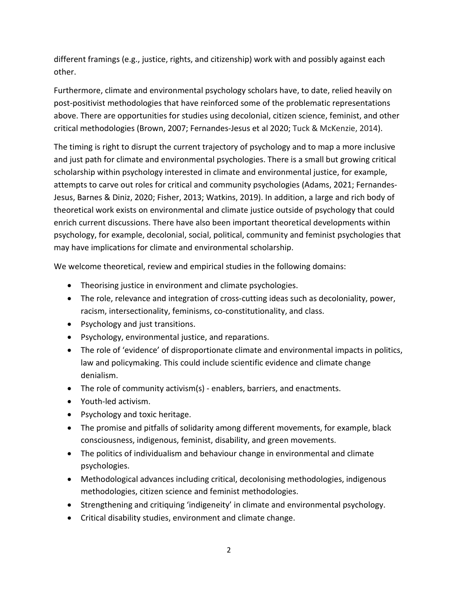different framings (e.g., justice, rights, and citizenship) work with and possibly against each other.

Furthermore, climate and environmental psychology scholars have, to date, relied heavily on post-positivist methodologies that have reinforced some of the problematic representations above. There are opportunities for studies using decolonial, citizen science, feminist, and other critical methodologies (Brown, 2007; Fernandes-Jesus et al 2020; Tuck & McKenzie, 2014).

The timing is right to disrupt the current trajectory of psychology and to map a more inclusive and just path for climate and environmental psychologies. There is a small but growing critical scholarship within psychology interested in climate and environmental justice, for example, attempts to carve out roles for critical and community psychologies (Adams, 2021; Fernandes-Jesus, Barnes & Diniz, 2020; Fisher, 2013; Watkins, 2019). In addition, a large and rich body of theoretical work exists on environmental and climate justice outside of psychology that could enrich current discussions. There have also been important theoretical developments within psychology, for example, decolonial, social, political, community and feminist psychologies that may have implications for climate and environmental scholarship.

We welcome theoretical, review and empirical studies in the following domains:

- Theorising justice in environment and climate psychologies.
- The role, relevance and integration of cross-cutting ideas such as decoloniality, power, racism, intersectionality, feminisms, co-constitutionality, and class.
- Psychology and just transitions.
- Psychology, environmental justice, and reparations.
- The role of 'evidence' of disproportionate climate and environmental impacts in politics, law and policymaking. This could include scientific evidence and climate change denialism.
- The role of community activism(s) enablers, barriers, and enactments.
- Youth-led activism.
- Psychology and toxic heritage.
- The promise and pitfalls of solidarity among different movements, for example, black consciousness, indigenous, feminist, disability, and green movements.
- The politics of individualism and behaviour change in environmental and climate psychologies.
- Methodological advances including critical, decolonising methodologies, indigenous methodologies, citizen science and feminist methodologies.
- Strengthening and critiquing 'indigeneity' in climate and environmental psychology.
- Critical disability studies, environment and climate change.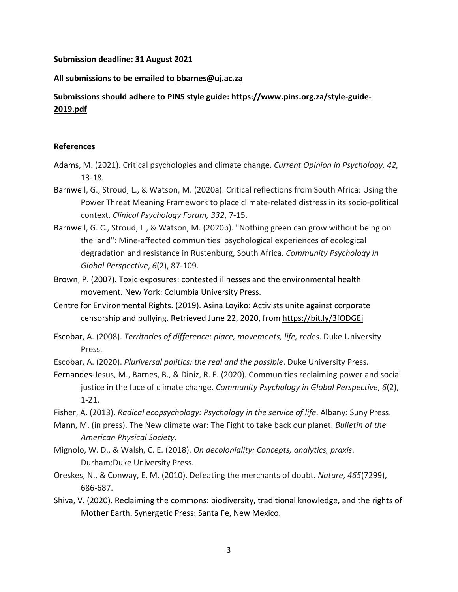#### **Submission deadline: 31 August 2021**

## **All submissions to be emailed to [bbarnes@uj.ac.za](mailto:bbarnes@uj.ac.za)**

# **Submissions should adhere to PINS style guide: [https://www.pins.org.za/style-guide-](https://www.pins.org.za/style-guide-2019.pdf)[2019.pdf](https://www.pins.org.za/style-guide-2019.pdf)**

## **References**

- Adams, M. (2021). Critical psychologies and climate change. *Current Opinion in Psychology, 42,* 13-18.
- Barnwell, G., Stroud, L., & Watson, M. (2020a). Critical reflections from South Africa: Using the Power Threat Meaning Framework to place climate-related distress in its socio-political context. *Clinical Psychology Forum, 332*, 7-15.
- Barnwell, G. C., Stroud, L., & Watson, M. (2020b). "Nothing green can grow without being on the land": Mine-affected communities' psychological experiences of ecological degradation and resistance in Rustenburg, South Africa. *Community Psychology in Global Perspective*, *6*(2), 87-109.
- Brown, P. (2007). Toxic exposures: contested illnesses and the environmental health movement. New York: Columbia University Press.
- Centre for Environmental Rights. (2019). Asina Loyiko: Activists unite against corporate censorship and bullying. Retrieved June 22, 2020, from <https://bit.ly/3fODGEj>
- Escobar, A. (2008). *Territories of difference: place, movements, life, redes*. Duke University Press.
- Escobar, A. (2020). *Pluriversal politics: the real and the possible*. Duke University Press.
- Fernandes-Jesus, M., Barnes, B., & Diniz, R. F. (2020). Communities reclaiming power and social justice in the face of climate change. *Community Psychology in Global Perspective*, *6*(2), 1-21.
- Fisher, A. (2013). *Radical ecopsychology: Psychology in the service of life*. Albany: Suny Press.
- Mann, M. (in press). The New climate war: The Fight to take back our planet. *Bulletin of the American Physical Society*.
- Mignolo, W. D., & Walsh, C. E. (2018). *On decoloniality: Concepts, analytics, praxis*. Durham:Duke University Press.
- Oreskes, N., & Conway, E. M. (2010). Defeating the merchants of doubt. *Nature*, *465*(7299), 686-687.
- Shiva, V. (2020). Reclaiming the commons: biodiversity, traditional knowledge, and the rights of Mother Earth. Synergetic Press: Santa Fe, New Mexico.